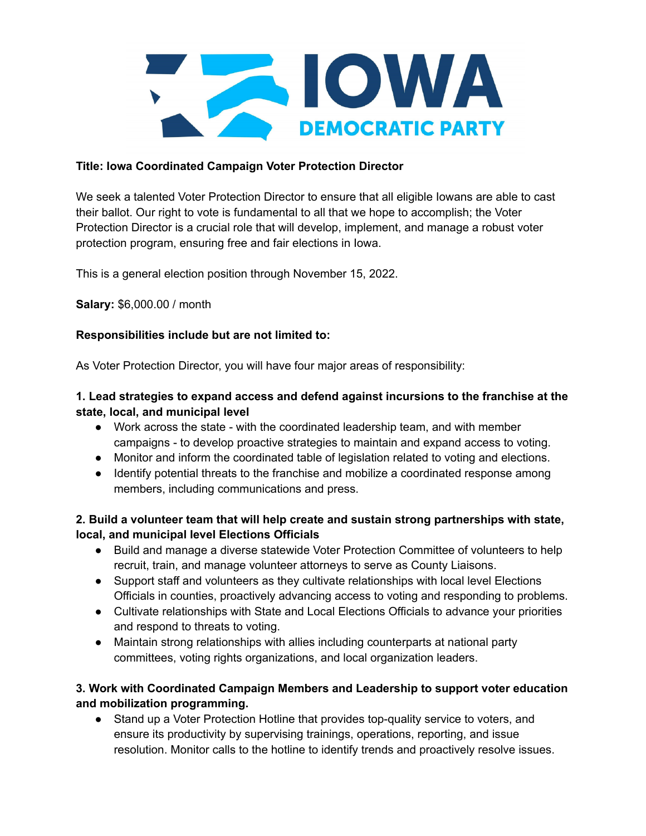

#### **Title: Iowa Coordinated Campaign Voter Protection Director**

We seek a talented Voter Protection Director to ensure that all eligible Iowans are able to cast their ballot. Our right to vote is fundamental to all that we hope to accomplish; the Voter Protection Director is a crucial role that will develop, implement, and manage a robust voter protection program, ensuring free and fair elections in Iowa.

This is a general election position through November 15, 2022.

**Salary:** \$6,000.00 / month

### **Responsibilities include but are not limited to:**

As Voter Protection Director, you will have four major areas of responsibility:

#### **1. Lead strategies to expand access and defend against incursions to the franchise at the state, local, and municipal level**

- Work across the state with the coordinated leadership team, and with member campaigns - to develop proactive strategies to maintain and expand access to voting.
- Monitor and inform the coordinated table of legislation related to voting and elections.
- Identify potential threats to the franchise and mobilize a coordinated response among members, including communications and press.

# **2. Build a volunteer team that will help create and sustain strong partnerships with state, local, and municipal level Elections Officials**

- Build and manage a diverse statewide Voter Protection Committee of volunteers to help recruit, train, and manage volunteer attorneys to serve as County Liaisons.
- Support staff and volunteers as they cultivate relationships with local level Elections Officials in counties, proactively advancing access to voting and responding to problems.
- Cultivate relationships with State and Local Elections Officials to advance your priorities and respond to threats to voting.
- Maintain strong relationships with allies including counterparts at national party committees, voting rights organizations, and local organization leaders.

# **3. Work with Coordinated Campaign Members and Leadership to support voter education and mobilization programming.**

● Stand up a Voter Protection Hotline that provides top-quality service to voters, and ensure its productivity by supervising trainings, operations, reporting, and issue resolution. Monitor calls to the hotline to identify trends and proactively resolve issues.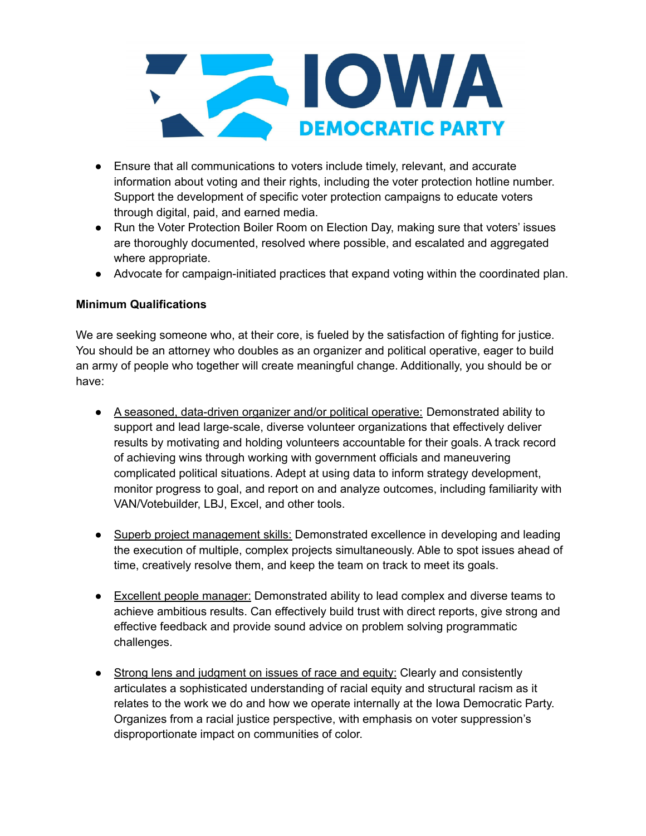

- Ensure that all communications to voters include timely, relevant, and accurate information about voting and their rights, including the voter protection hotline number. Support the development of specific voter protection campaigns to educate voters through digital, paid, and earned media.
- Run the Voter Protection Boiler Room on Election Day, making sure that voters' issues are thoroughly documented, resolved where possible, and escalated and aggregated where appropriate.
- Advocate for campaign-initiated practices that expand voting within the coordinated plan.

# **Minimum Qualifications**

We are seeking someone who, at their core, is fueled by the satisfaction of fighting for justice. You should be an attorney who doubles as an organizer and political operative, eager to build an army of people who together will create meaningful change. Additionally, you should be or have:

- A seasoned, data-driven organizer and/or political operative: Demonstrated ability to support and lead large-scale, diverse volunteer organizations that effectively deliver results by motivating and holding volunteers accountable for their goals. A track record of achieving wins through working with government officials and maneuvering complicated political situations. Adept at using data to inform strategy development, monitor progress to goal, and report on and analyze outcomes, including familiarity with VAN/Votebuilder, LBJ, Excel, and other tools.
- Superb project management skills: Demonstrated excellence in developing and leading the execution of multiple, complex projects simultaneously. Able to spot issues ahead of time, creatively resolve them, and keep the team on track to meet its goals.
- Excellent people manager: Demonstrated ability to lead complex and diverse teams to achieve ambitious results. Can effectively build trust with direct reports, give strong and effective feedback and provide sound advice on problem solving programmatic challenges.
- Strong lens and judgment on issues of race and equity: Clearly and consistently articulates a sophisticated understanding of racial equity and structural racism as it relates to the work we do and how we operate internally at the Iowa Democratic Party. Organizes from a racial justice perspective, with emphasis on voter suppression's disproportionate impact on communities of color.